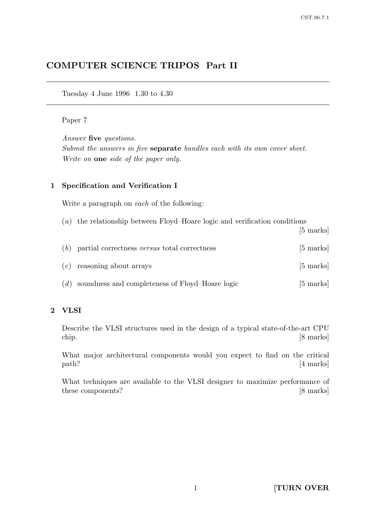# COMPUTER SCIENCE TRIPOS Part II

Tuesday 4 June 1996 1.30 to 4.30

#### Paper 7

Answer five questions. Submit the answers in five separate bundles each with its own cover sheet. Write on one side of the paper only.

### 1 Specification and Verification I

Write a paragraph on *each* of the following:

|  | $(a)$ the relationship between Floyd-Hoare logic and verification conditions |  |  |
|--|------------------------------------------------------------------------------|--|--|
|  |                                                                              |  |  |

[5 marks]

| (b) | partial correctness <i>versus</i> total correctness   | $[5 \text{ marks}]$ |
|-----|-------------------------------------------------------|---------------------|
|     | $(c)$ reasoning about arrays                          | $[5 \text{ marks}]$ |
|     | $(d)$ soundness and completeness of Floyd–Hoare logic | $[5 \text{ marks}]$ |

# 2 VLSI

Describe the VLSI structures used in the design of a typical state-of-the-art CPU chip. [8 marks]

What major architectural components would you expect to find on the critical path? [4 marks]

What techniques are available to the VLSI designer to maximize performance of these components? [8 marks]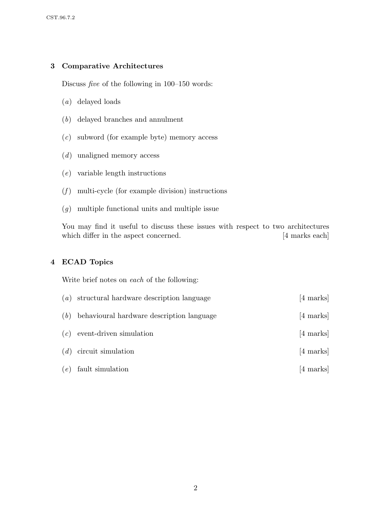# 3 Comparative Architectures

Discuss five of the following in 100–150 words:

- (a) delayed loads
- (b) delayed branches and annulment
- (c) subword (for example byte) memory access
- (d) unaligned memory access
- (e) variable length instructions
- $(f)$  multi-cycle (for example division) instructions
- (g) multiple functional units and multiple issue

You may find it useful to discuss these issues with respect to two architectures which differ in the aspect concerned. [4 marks each]

# 4 ECAD Topics

Write brief notes on each of the following:

| (a) | structural hardware description language  | [4 marks] |
|-----|-------------------------------------------|-----------|
| (b) | behavioural hardware description language | [4 marks] |
| (c) | event-driven simulation                   | [4 marks] |
| (d) | circuit simulation                        | [4 marks] |
| (e) | fault simulation                          | [4 marks] |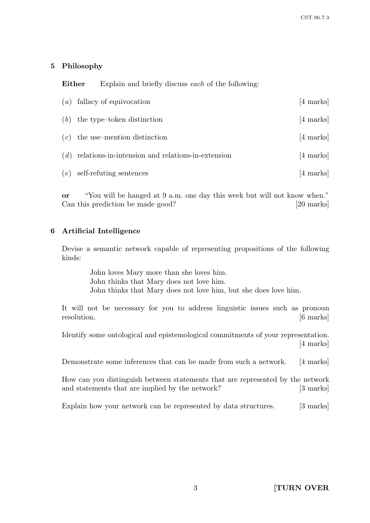#### 5 Philosophy

Either Explain and briefly discuss each of the following:

| (a) | fallacy of equivocation                           | $[4 \text{ marks}]$ |
|-----|---------------------------------------------------|---------------------|
| (b) | the type-token distinction                        | $[4 \text{ marks}]$ |
| (c) | the use-mention distinction                       | $[4 \text{ marks}]$ |
| (d) | relations-in-intension and relations-in-extension | $[4 \text{ marks}]$ |
| (e) | self-refuting sentences                           | [4 marks]           |

or "You will be hanged at 9 a.m. one day this week but will not know when." Can this prediction be made good? [20 marks]

#### 6 Artificial Intelligence

Devise a semantic network capable of representing propositions of the following kinds:

> John loves Mary more than she loves him. John thinks that Mary does not love him. John thinks that Mary does not love him, but she does love him.

It will not be necessary for you to address linguistic issues such as pronoun resolution. [6 marks]

Identify some ontological and epistemological commitments of your representation. [4 marks]

Demonstrate some inferences that can be made from such a network. [4 marks]

How can you distinguish between statements that are represented by the network and statements that are implied by the network? [3 marks]

Explain how your network can be represented by data structures. [3 marks]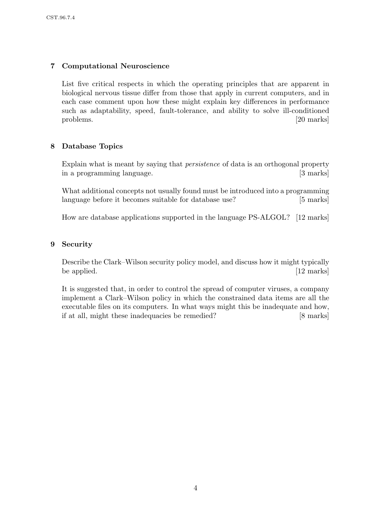# 7 Computational Neuroscience

List five critical respects in which the operating principles that are apparent in biological nervous tissue differ from those that apply in current computers, and in each case comment upon how these might explain key differences in performance such as adaptability, speed, fault-tolerance, and ability to solve ill-conditioned problems. [20 marks]

# 8 Database Topics

Explain what is meant by saying that persistence of data is an orthogonal property in a programming language. [3 marks]

What additional concepts not usually found must be introduced into a programming language before it becomes suitable for database use? [5 marks]

How are database applications supported in the language PS-ALGOL? [12 marks]

### 9 Security

Describe the Clark–Wilson security policy model, and discuss how it might typically be applied. [12 marks]

It is suggested that, in order to control the spread of computer viruses, a company implement a Clark–Wilson policy in which the constrained data items are all the executable files on its computers. In what ways might this be inadequate and how, if at all, might these inadequacies be remedied? [8 marks]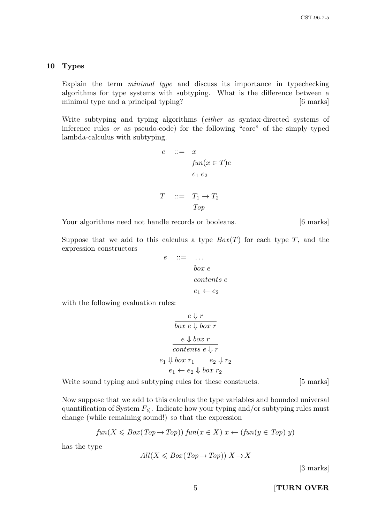#### 10 Types

Explain the term *minimal type* and discuss its importance in typechecking algorithms for type systems with subtyping. What is the difference between a minimal type and a principal typing? [6 marks]

Write subtyping and typing algorithms (either as syntax-directed systems of inference rules or as pseudo-code) for the following "core" of the simply typed lambda-calculus with subtyping.

$$
e ::= x
$$
  
\n
$$
fun(x \in T)e
$$
  
\n
$$
e_1 e_2
$$
  
\n
$$
T ::= T_1 \rightarrow T_2
$$
  
\n
$$
Top
$$

Your algorithms need not handle records or booleans. [6 marks]

Suppose that we add to this calculus a type  $Box(T)$  for each type T, and the expression constructors

$$
e \quad ::= \quad ...
$$
\n
$$
box \quad e
$$
\n
$$
contents \, e
$$
\n
$$
e_1 \leftarrow e_2
$$

with the following evaluation rules:

$$
e \Downarrow r
$$
  
\n
$$
box e \Downarrow box r
$$
  
\n
$$
e \Downarrow box r
$$
  
\n
$$
contents e \Downarrow r
$$
  
\n
$$
e_1 \Downarrow box r_1 \qquad e_2 \Downarrow r_2
$$
  
\n
$$
e_1 \leftarrow e_2 \Downarrow box r_2
$$

Write sound typing and subtyping rules for these constructs. [5 marks]

Now suppose that we add to this calculus the type variables and bounded universal quantification of System  $F_{\leq}$ . Indicate how your typing and/or subtyping rules must change (while remaining sound!) so that the expression

$$
fun(X \leq Box(Top \to Top)) \, fun(x \in X) \, x \leftarrow (fun(y \in Top) \, y)
$$

has the type

$$
All(X \leq Box(Top \to Top)) X \to X
$$

[3 marks]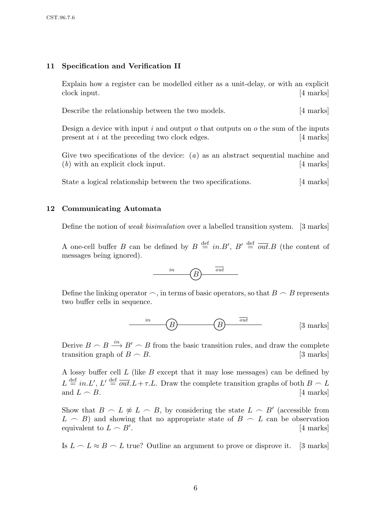### 11 Specification and Verification II

Explain how a register can be modelled either as a unit-delay, or with an explicit clock input. [4 marks]

Describe the relationship between the two models. [4 marks]

Design a device with input i and output  $o$  that outputs on  $o$  the sum of the inputs present at  $i$  at the preceding two clock edges.  $|4 \text{ marks}|$ 

Give two specifications of the device: (a) as an abstract sequential machine and (b) with an explicit clock input. [4 marks]

State a logical relationship between the two specifications. [4 marks]

#### 12 Communicating Automata

Define the notion of *weak bisimulation* over a labelled transition system. [3 marks]

A one-cell buffer B can be defined by  $B \stackrel{\text{def}}{=} in B', B' \stackrel{\text{def}}{=} \overline{out}.B$  (the content of messages being ignored).

$$
\overbrace{\hspace{4.5cm}}^{in}
$$
  $\overbrace{\hspace{4.5cm}}^{out}$ 

Define the linking operator  $\frown$ , in terms of basic operators, so that  $B \frown B$  represents two buffer cells in sequence.

$$
\underbrace{\qquad \qquad in \qquad} (B) \qquad \qquad \overbrace{\qquad \qquad }^{out} \qquad \qquad [3 \text{ marks}]
$$

Derive  $B \subset B \stackrel{in}{\longrightarrow} B' \subset B$  from the basic transition rules, and draw the complete transition graph of  $B \cap B$ . [3 marks]

A lossy buffer cell  $L$  (like  $B$  except that it may lose messages) can be defined by  $L \stackrel{\text{def}}{=} in L', L' \stackrel{\text{def}}{=} \overline{out}.L + \tau.L.$  Draw the complete transition graphs of both  $B \frown L$ and  $L \frown B$ . [4 marks]

Show that  $B \subset L \not\approx L \subset B$ , by considering the state  $L \subset B'$  (accessible from  $L \sim B$ ) and showing that no appropriate state of  $B \sim L$  can be observation equivalent to  $L \frown B'$ . . [4 marks]

Is  $L \sim L \approx B \sim L$  true? Outline an argument to prove or disprove it. [3 marks]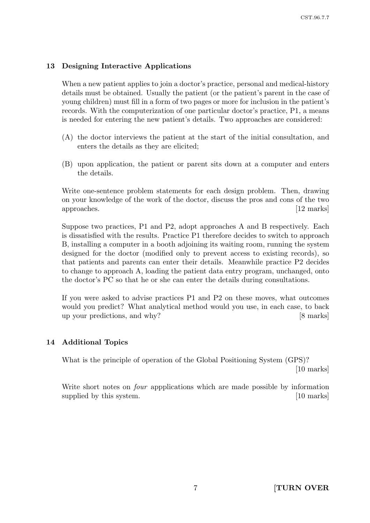# 13 Designing Interactive Applications

When a new patient applies to join a doctor's practice, personal and medical-history details must be obtained. Usually the patient (or the patient's parent in the case of young children) must fill in a form of two pages or more for inclusion in the patient's records. With the computerization of one particular doctor's practice, P1, a means is needed for entering the new patient's details. Two approaches are considered:

- (A) the doctor interviews the patient at the start of the initial consultation, and enters the details as they are elicited;
- (B) upon application, the patient or parent sits down at a computer and enters the details.

Write one-sentence problem statements for each design problem. Then, drawing on your knowledge of the work of the doctor, discuss the pros and cons of the two approaches. [12 marks]

Suppose two practices, P1 and P2, adopt approaches A and B respectively. Each is dissatisfied with the results. Practice P1 therefore decides to switch to approach B, installing a computer in a booth adjoining its waiting room, running the system designed for the doctor (modified only to prevent access to existing records), so that patients and parents can enter their details. Meanwhile practice P2 decides to change to approach A, loading the patient data entry program, unchanged, onto the doctor's PC so that he or she can enter the details during consultations.

If you were asked to advise practices P1 and P2 on these moves, what outcomes would you predict? What analytical method would you use, in each case, to back up your predictions, and why? [8 marks]

### 14 Additional Topics

What is the principle of operation of the Global Positioning System (GPS)? [10 marks]

Write short notes on *four* appplications which are made possible by information supplied by this system. [10 marks]